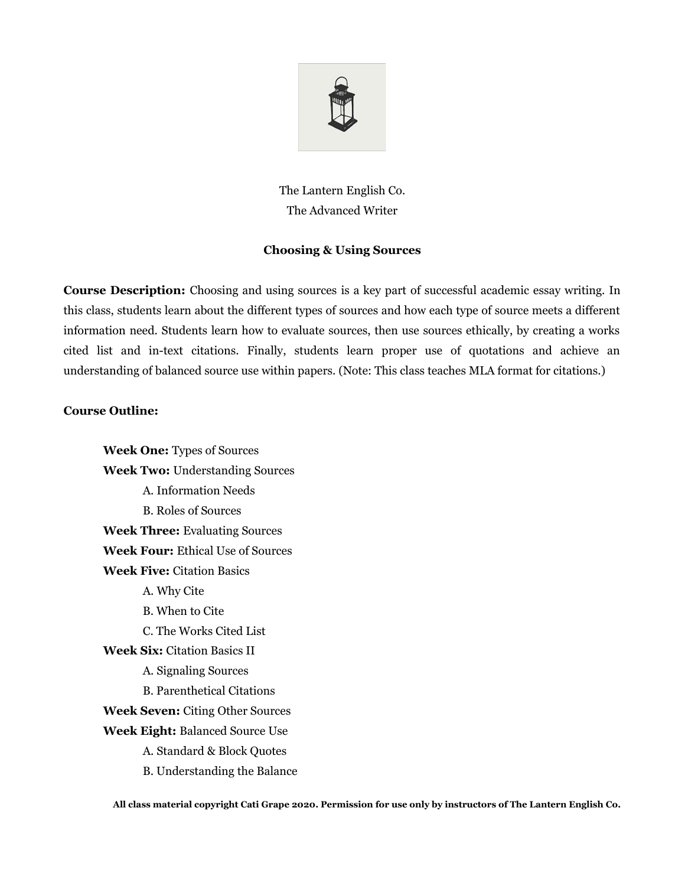

The Lantern English Co. The Advanced Writer

## **Choosing & Using Sources**

**Course Description:** Choosing and using sources is a key part of successful academic essay writing. In this class, students learn about the different types of sources and how each type of source meets a different information need. Students learn how to evaluate sources, then use sources ethically, by creating a works cited list and in-text citations. Finally, students learn proper use of quotations and achieve an understanding of balanced source use within papers. (Note: This class teaches MLA format for citations.)

## **Course Outline:**

**Week One:** Types of Sources **Week Two:** Understanding Sources A. Information Needs B. Roles of Sources **Week Three:** Evaluating Sources **Week Four:** Ethical Use of Sources **Week Five:** Citation Basics A. Why Cite B. When to Cite C. The Works Cited List **Week Six:** Citation Basics II A. Signaling Sources B. Parenthetical Citations **Week Seven:** Citing Other Sources **Week Eight:** Balanced Source Use A. Standard & Block Quotes B. Understanding the Balance